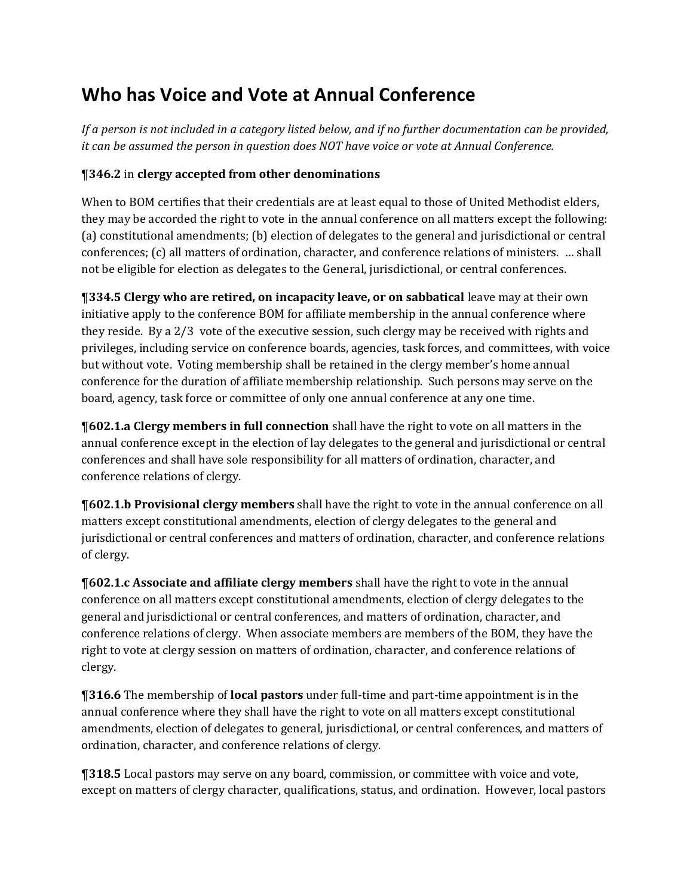## **Who has Voice and Vote at Annual Conference**

*If a person is not included in a category listed below, and if no further documentation can be provided, it can be assumed the person in question does NOT have voice or vote at Annual Conference.* 

## ¶**346.2** in **clergy accepted from other denominations**

When to BOM certifies that their credentials are at least equal to those of United Methodist elders, they may be accorded the right to vote in the annual conference on all matters except the following: (a) constitutional amendments; (b) election of delegates to the general and jurisdictional or central conferences; (c) all matters of ordination, character, and conference relations of ministers. … shall not be eligible for election as delegates to the General, jurisdictional, or central conferences.

¶**334.5 Clergy who are retired, on incapacity leave, or on sabbatical** leave may at their own initiative apply to the conference BOM for affiliate membership in the annual conference where they reside. By a 2/3 vote of the executive session, such clergy may be received with rights and privileges, including service on conference boards, agencies, task forces, and committees, with voice but without vote. Voting membership shall be retained in the clergy member's home annual conference for the duration of affiliate membership relationship. Such persons may serve on the board, agency, task force or committee of only one annual conference at any one time.

¶**602.1.a Clergy members in full connection** shall have the right to vote on all matters in the annual conference except in the election of lay delegates to the general and jurisdictional or central conferences and shall have sole responsibility for all matters of ordination, character, and conference relations of clergy.

¶**602.1.b Provisional clergy members** shall have the right to vote in the annual conference on all matters except constitutional amendments, election of clergy delegates to the general and jurisdictional or central conferences and matters of ordination, character, and conference relations of clergy.

¶**602.1.c Associate and affiliate clergy members** shall have the right to vote in the annual conference on all matters except constitutional amendments, election of clergy delegates to the general and jurisdictional or central conferences, and matters of ordination, character, and conference relations of clergy. When associate members are members of the BOM, they have the right to vote at clergy session on matters of ordination, character, and conference relations of clergy.

¶**316.6** The membership of **local pastors** under full-time and part-time appointment is in the annual conference where they shall have the right to vote on all matters except constitutional amendments, election of delegates to general, jurisdictional, or central conferences, and matters of ordination, character, and conference relations of clergy.

¶**318.5** Local pastors may serve on any board, commission, or committee with voice and vote, except on matters of clergy character, qualifications, status, and ordination. However, local pastors